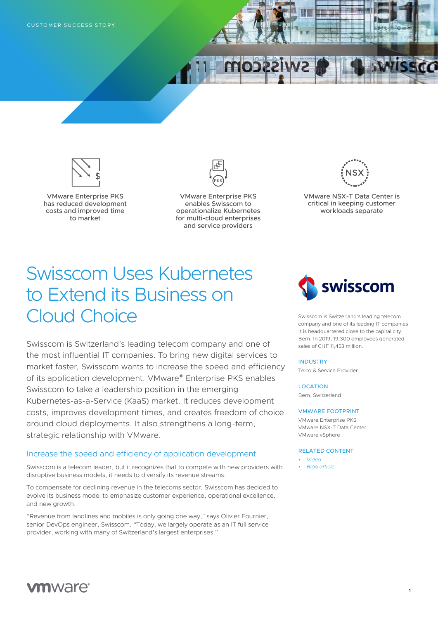



VMware Enterprise PKS has reduced development costs and improved time to market



VMware Enterprise PKS enables Swisscom to operationalize Kubernetes for multi-cloud enterprises and service providers



VMware NSX-T Data Center is critical in keeping customer workloads separate

# Swisscom Uses Kubernetes to Extend its Business on Cloud Choice

Swisscom is Switzerland's leading telecom company and one of the most influential IT companies. To bring new digital services to market faster, Swisscom wants to increase the speed and efficiency of its application development. VMware® Enterprise PKS enables Swisscom to take a leadership position in the emerging Kubernetes-as-a-Service (KaaS) market. It reduces development costs, improves development times, and creates freedom of choice around cloud deployments. It also strengthens a long-term, strategic relationship with VMware.

#### Increase the speed and efficiency of application development

Swisscom is a telecom leader, but it recognizes that to compete with new providers with disruptive business models, it needs to diversify its revenue streams.

To compensate for declining revenue in the telecoms sector, Swisscom has decided to evolve its business model to emphasize customer experience, operational excellence, and new growth.

"Revenue from landlines and mobiles is only going one way," says Olivier Fournier, senior DevOps engineer, Swisscom. "Today, we largely operate as an IT full service provider, working with many of Switzerland's largest enterprises."



Swisscom is Switzerland's leading telecom company and one of its leading IT companies. It is headquartered close to the capital city, Bern. In 2019, 19,300 employees generated sales of CHF 11,453 million.

**1**

#### INDUSTRY

Telco & Service Provider

#### **LOCATION**

Bern, Switzerland

#### VMWARE FOOTPRINT

VMware Enterprise PKS VMware NSX-T Data Center VMware vSphere

#### RELATED CONTENT

- *• [Video](https://youtu.be/pp9GfgH20zk)*
- *• [Blog article](https://blogs.vmware.com/emea/en/2020/04/dynamic-developers-help-swisscom-transform-its-business-and-move-to-the-cloud/)*

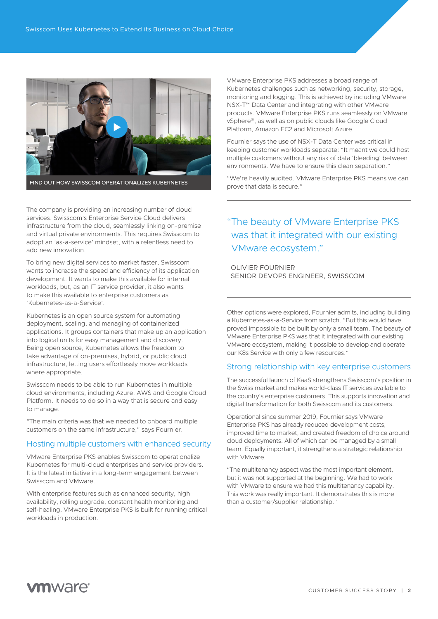

The company is providing an increasing number of cloud services. Swisscom's Enterprise Service Cloud delivers infrastructure from the cloud, seamlessly linking on-premise and virtual private environments. This requires Swisscom to adopt an 'as-a-service' mindset, with a relentless need to add new innovation.

To bring new digital services to market faster, Swisscom wants to increase the speed and efficiency of its application development. It wants to make this available for internal workloads, but, as an IT service provider, it also wants to make this available to enterprise customers as 'Kubernetes-as-a-Service'.

Kubernetes is an open source system for automating deployment, scaling, and managing of containerized applications. It groups containers that make up an application into logical units for easy management and discovery. Being open source, Kubernetes allows the freedom to take advantage of on-premises, hybrid, or public cloud infrastructure, letting users effortlessly move workloads where appropriate.

Swisscom needs to be able to run Kubernetes in multiple cloud environments, including Azure, AWS and Google Cloud Platform. It needs to do so in a way that is secure and easy to manage.

"The main criteria was that we needed to onboard multiple customers on the same infrastructure," says Fournier.

#### Hosting multiple customers with enhanced security

VMware Enterprise PKS enables Swisscom to operationalize Kubernetes for multi-cloud enterprises and service providers. It is the latest initiative in a long-term engagement between Swisscom and VMware.

With enterprise features such as enhanced security, high availability, rolling upgrade, constant health monitoring and self-healing, VMware Enterprise PKS is built for running critical workloads in production.

VMware Enterprise PKS addresses a broad range of Kubernetes challenges such as networking, security, storage, monitoring and logging. This is achieved by including VMware NSX-T™ Data Center and integrating with other VMware products. VMware Enterprise PKS runs seamlessly on VMware vSphere®, as well as on public clouds like Google Cloud Platform, Amazon EC2 and Microsoft Azure.

Fournier says the use of NSX-T Data Center was critical in keeping customer workloads separate: "It meant we could host multiple customers without any risk of data 'bleeding' between environments. We have to ensure this clean separation."

"We're heavily audited. VMware Enterprise PKS means we can prove that data is secure."

### "The beauty of VMware Enterprise PKS was that it integrated with our existing VMware ecosystem."

OLIVIER FOURNIER SENIOR DEVOPS ENGINEER, SWISSCOM

Other options were explored, Fournier admits, including building a Kubernetes-as-a-Service from scratch. "But this would have proved impossible to be built by only a small team. The beauty of VMware Enterprise PKS was that it integrated with our existing VMware ecosystem, making it possible to develop and operate our K8s Service with only a few resources."

#### Strong relationship with key enterprise customers

The successful launch of KaaS strengthens Swisscom's position in the Swiss market and makes world-class IT services available to the country's enterprise customers. This supports innovation and digital transformation for both Swisscom and its customers.

Operational since summer 2019, Fournier says VMware Enterprise PKS has already reduced development costs, improved time to market, and created freedom of choice around cloud deployments. All of which can be managed by a small team. Equally important, it strengthens a strategic relationship with VMware.

"The multitenancy aspect was the most important element, but it was not supported at the beginning. We had to work with VMware to ensure we had this multitenancy capability. This work was really important. It demonstrates this is more than a customer/supplier relationship."

# **vm**ware<sup>®</sup>